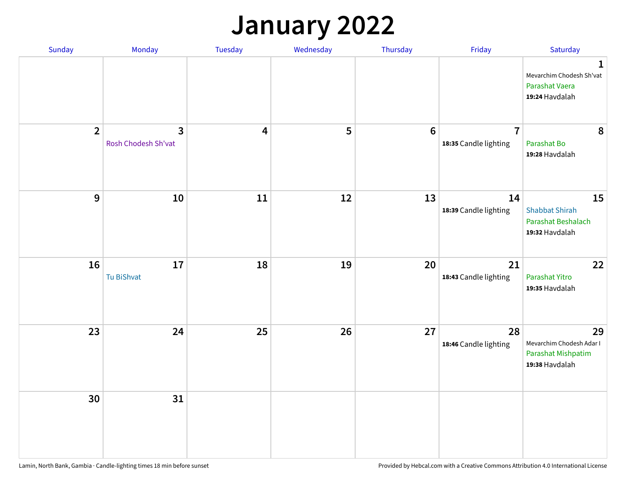## **January 2022**

| Sunday         | Monday                                         | Tuesday                 | Wednesday | Thursday         | Friday                                  | Saturday                                                                     |
|----------------|------------------------------------------------|-------------------------|-----------|------------------|-----------------------------------------|------------------------------------------------------------------------------|
|                |                                                |                         |           |                  |                                         | $\mathbf{1}$<br>Mevarchim Chodesh Sh'vat<br>Parashat Vaera<br>19:24 Havdalah |
| $\overline{2}$ | $\overline{\mathbf{3}}$<br>Rosh Chodesh Sh'vat | $\overline{\mathbf{4}}$ | 5         | $\boldsymbol{6}$ | $\overline{7}$<br>18:35 Candle lighting | 8<br>Parashat Bo<br>19:28 Havdalah                                           |
| $\mathbf 9$    | 10                                             | ${\bf 11}$              | 12        | 13               | 14<br>18:39 Candle lighting             | 15<br><b>Shabbat Shirah</b><br>Parashat Beshalach<br>19:32 Havdalah          |
| 16             | 17<br>Tu BiShvat                               | 18                      | 19        | 20               | 21<br>18:43 Candle lighting             | 22<br>Parashat Yitro<br>19:35 Havdalah                                       |
| 23             | 24                                             | 25                      | 26        | 27               | 28<br>18:46 Candle lighting             | 29<br>Mevarchim Chodesh Adar I<br>Parashat Mishpatim<br>19:38 Havdalah       |
| 30             | 31                                             |                         |           |                  |                                         |                                                                              |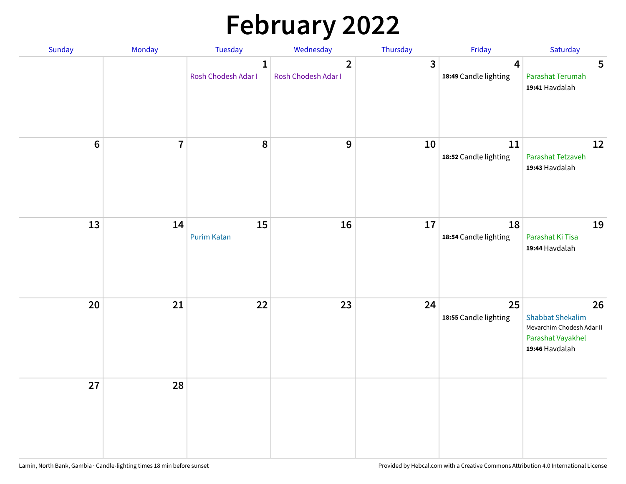# **February 2022**

| Sunday | Monday                  | <b>Tuesday</b>                      | Wednesday                             | Thursday | Friday                                           | Saturday                                                                                          |
|--------|-------------------------|-------------------------------------|---------------------------------------|----------|--------------------------------------------------|---------------------------------------------------------------------------------------------------|
|        |                         | $\mathbf{1}$<br>Rosh Chodesh Adar I | $\overline{2}$<br>Rosh Chodesh Adar I | 3        | $\overline{\mathbf{4}}$<br>18:49 Candle lighting | 5<br>Parashat Terumah<br>19:41 Havdalah                                                           |
| $6\,$  | $\overline{\mathbf{7}}$ | 8                                   | 9                                     | 10       | 11<br>18:52 Candle lighting                      | 12<br>Parashat Tetzaveh<br>19:43 Havdalah                                                         |
| 13     | 14                      | 15<br><b>Purim Katan</b>            | 16                                    | 17       | 18<br>18:54 Candle lighting                      | 19<br>Parashat Ki Tisa<br>19:44 Havdalah                                                          |
| 20     | 21                      | 22                                  | 23                                    | 24       | 25<br>18:55 Candle lighting                      | 26<br><b>Shabbat Shekalim</b><br>Mevarchim Chodesh Adar II<br>Parashat Vayakhel<br>19:46 Havdalah |
| 27     | 28                      |                                     |                                       |          |                                                  |                                                                                                   |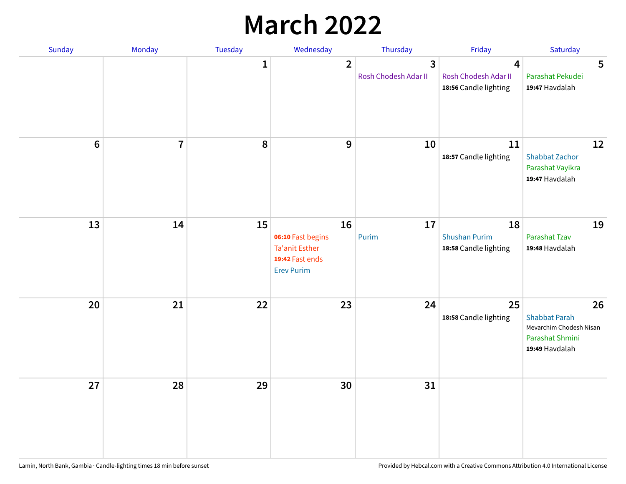## **March 2022**

| Sunday         | Monday         | <b>Tuesday</b> | Wednesday                                                                                | Thursday                  | Friday                                                                   | Saturday                                                                                   |
|----------------|----------------|----------------|------------------------------------------------------------------------------------------|---------------------------|--------------------------------------------------------------------------|--------------------------------------------------------------------------------------------|
|                |                | $\mathbf{1}$   | $\overline{2}$                                                                           | 3<br>Rosh Chodesh Adar II | $\overline{\mathbf{4}}$<br>Rosh Chodesh Adar II<br>18:56 Candle lighting | 5<br>Parashat Pekudei<br>19:47 Havdalah                                                    |
| $6\phantom{1}$ | $\overline{7}$ | 8              | $\mathbf 9$                                                                              | 10                        | 11<br>18:57 Candle lighting                                              | 12<br><b>Shabbat Zachor</b><br>Parashat Vayikra<br>19:47 Havdalah                          |
| 13             | 14             | 15             | 16<br>06:10 Fast begins<br><b>Ta'anit Esther</b><br>19:42 Fast ends<br><b>Erev Purim</b> | 17<br>Purim               | 18<br><b>Shushan Purim</b><br>18:58 Candle lighting                      | 19<br>Parashat Tzav<br>19:48 Havdalah                                                      |
| 20             | 21             | 22             | 23                                                                                       | 24                        | 25<br>18:58 Candle lighting                                              | 26<br><b>Shabbat Parah</b><br>Mevarchim Chodesh Nisan<br>Parashat Shmini<br>19:49 Havdalah |
| 27             | 28             | 29             | 30                                                                                       | 31                        |                                                                          |                                                                                            |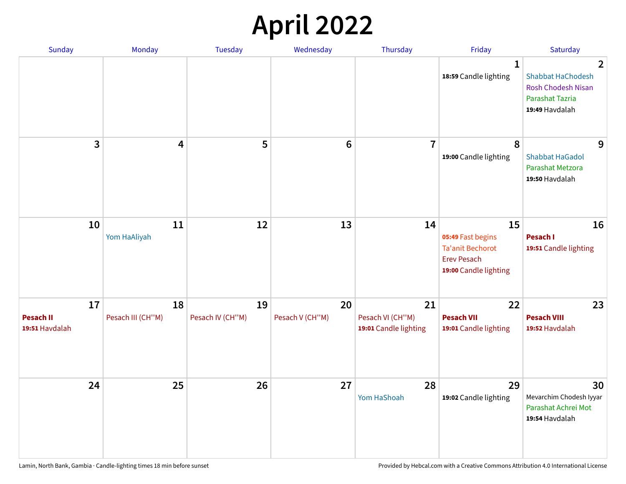## **April 2022**

| Sunday                                   | Monday                  | <b>Tuesday</b>         | Wednesday             | Thursday                                        | Friday                                                                                            | Saturday                                                                                                            |
|------------------------------------------|-------------------------|------------------------|-----------------------|-------------------------------------------------|---------------------------------------------------------------------------------------------------|---------------------------------------------------------------------------------------------------------------------|
|                                          |                         |                        |                       |                                                 | $\mathbf{1}$<br>18:59 Candle lighting                                                             | $\overline{2}$<br><b>Shabbat HaChodesh</b><br><b>Rosh Chodesh Nisan</b><br><b>Parashat Tazria</b><br>19:49 Havdalah |
| 3                                        | $\overline{\mathbf{4}}$ | 5                      | $6\phantom{1}6$       | $\overline{7}$                                  | 8<br>19:00 Candle lighting                                                                        | 9<br><b>Shabbat HaGadol</b><br>Parashat Metzora<br>19:50 Havdalah                                                   |
| 10                                       | 11<br>Yom HaAliyah      | 12                     | 13                    | 14                                              | 15<br>05:49 Fast begins<br><b>Ta'anit Bechorot</b><br><b>Erev Pesach</b><br>19:00 Candle lighting | 16<br>Pesach I<br>19:51 Candle lighting                                                                             |
| 17<br><b>Pesach II</b><br>19:51 Havdalah | 18<br>Pesach III (CH"M) | 19<br>Pesach IV (CH"M) | 20<br>Pesach V (CH"M) | 21<br>Pesach VI (CH"M)<br>19:01 Candle lighting | 22<br><b>Pesach VII</b><br>19:01 Candle lighting                                                  | 23<br><b>Pesach VIII</b><br>19:52 Havdalah                                                                          |
| 24                                       | 25                      | 26                     | 27                    | 28<br>Yom HaShoah                               | 29<br>19:02 Candle lighting                                                                       | 30<br>Mevarchim Chodesh Iyyar<br>Parashat Achrei Mot<br>19:54 Havdalah                                              |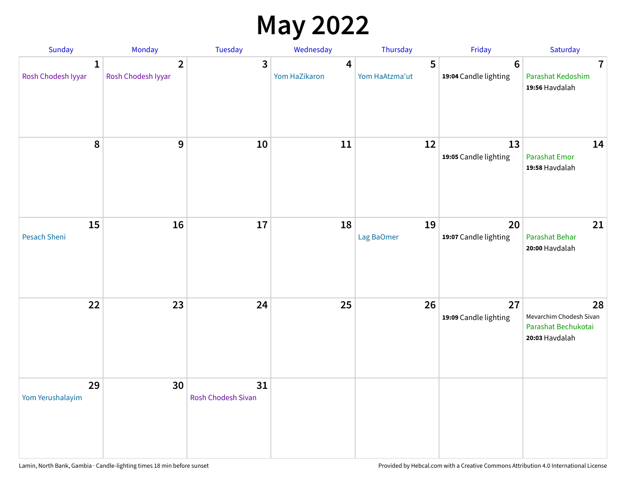## **May 2022**

| <b>Sunday</b>                      | Monday                               | Tuesday                         | Wednesday          | Thursday            | Friday                                   | Saturday                                                               |
|------------------------------------|--------------------------------------|---------------------------------|--------------------|---------------------|------------------------------------------|------------------------------------------------------------------------|
| $\mathbf{1}$<br>Rosh Chodesh Iyyar | $\overline{2}$<br>Rosh Chodesh Iyyar | 3                               | 4<br>Yom HaZikaron | 5<br>Yom HaAtzma'ut | $6\phantom{1}6$<br>19:04 Candle lighting | $\overline{7}$<br>Parashat Kedoshim<br>19:56 Havdalah                  |
| $\pmb{8}$                          | $\mathbf{9}$                         | 10                              | 11                 | 12                  | 13<br>19:05 Candle lighting              | 14<br><b>Parashat Emor</b><br>19:58 Havdalah                           |
| 15<br>Pesach Sheni                 | 16                                   | 17                              | 18                 | 19<br>Lag BaOmer    | 20<br>19:07 Candle lighting              | 21<br>Parashat Behar<br>20:00 Havdalah                                 |
| 22                                 | 23                                   | 24                              | 25                 | 26                  | 27<br>19:09 Candle lighting              | 28<br>Mevarchim Chodesh Sivan<br>Parashat Bechukotai<br>20:03 Havdalah |
| 29<br>Yom Yerushalayim             | 30                                   | 31<br><b>Rosh Chodesh Sivan</b> |                    |                     |                                          |                                                                        |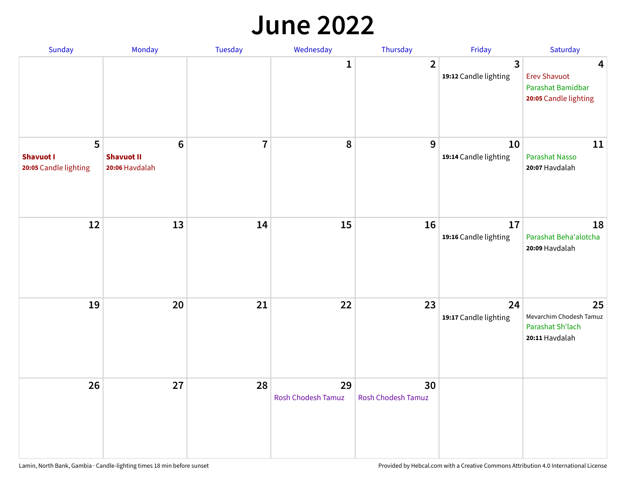#### **June 2022**

| Sunday                                         | Monday                                                | Tuesday        | Wednesday                       | Thursday                        | Friday                      | Saturday                                                               |
|------------------------------------------------|-------------------------------------------------------|----------------|---------------------------------|---------------------------------|-----------------------------|------------------------------------------------------------------------|
|                                                |                                                       |                | 1                               | $\overline{2}$                  | 3<br>19:12 Candle lighting  | 4<br><b>Erev Shavuot</b><br>Parashat Bamidbar<br>20:05 Candle lighting |
| 5<br><b>Shavuot I</b><br>20:05 Candle lighting | $6\phantom{1}$<br><b>Shavuot II</b><br>20:06 Havdalah | $\overline{7}$ | 8                               | 9                               | 10<br>19:14 Candle lighting | 11<br><b>Parashat Nasso</b><br>20:07 Havdalah                          |
| 12                                             | 13                                                    | 14             | 15                              | 16                              | 17<br>19:16 Candle lighting | 18<br>Parashat Beha'alotcha<br>20:09 Havdalah                          |
| 19                                             | 20                                                    | 21             | 22                              | 23                              | 24<br>19:17 Candle lighting | 25<br>Mevarchim Chodesh Tamuz<br>Parashat Sh'lach<br>20:11 Havdalah    |
| 26                                             | 27                                                    | 28             | 29<br><b>Rosh Chodesh Tamuz</b> | 30<br><b>Rosh Chodesh Tamuz</b> |                             |                                                                        |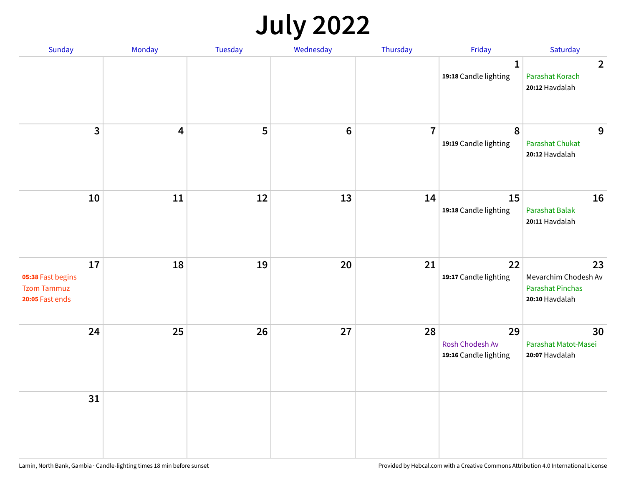## **July 2022**

| Sunday                                                           | Monday | Tuesday | Wednesday      | Thursday       | Friday                                         | Saturday                                                                |
|------------------------------------------------------------------|--------|---------|----------------|----------------|------------------------------------------------|-------------------------------------------------------------------------|
|                                                                  |        |         |                |                | $\mathbf{1}$<br>19:18 Candle lighting          | $\overline{2}$<br>Parashat Korach<br>20:12 Havdalah                     |
| $\overline{3}$                                                   | 4      | 5       | $6\phantom{1}$ | $\overline{7}$ | $\boldsymbol{8}$<br>19:19 Candle lighting      | 9<br><b>Parashat Chukat</b><br>20:12 Havdalah                           |
| 10                                                               | 11     | 12      | 13             | 14             | 15<br>19:18 Candle lighting                    | 16<br>Parashat Balak<br>20:11 Havdalah                                  |
| 17<br>05:38 Fast begins<br><b>Tzom Tammuz</b><br>20:05 Fast ends | 18     | 19      | 20             | 21             | 22<br>19:17 Candle lighting                    | 23<br>Mevarchim Chodesh Av<br><b>Parashat Pinchas</b><br>20:10 Havdalah |
| 24                                                               | 25     | 26      | 27             | 28             | 29<br>Rosh Chodesh Av<br>19:16 Candle lighting | 30<br>Parashat Matot-Masei<br>20:07 Havdalah                            |
| 31                                                               |        |         |                |                |                                                |                                                                         |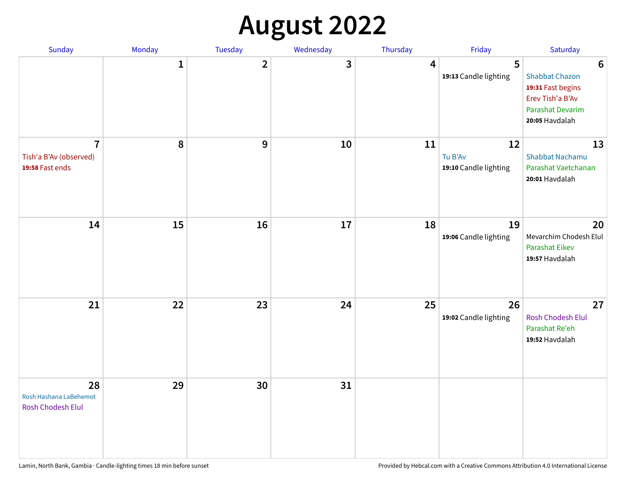## **August 2022**

| Sunday                                                      | Monday       | Tuesday                 | Wednesday | Thursday | Friday                                 | Saturday                                                                                                                       |
|-------------------------------------------------------------|--------------|-------------------------|-----------|----------|----------------------------------------|--------------------------------------------------------------------------------------------------------------------------------|
|                                                             | $\mathbf{1}$ | $\overline{\mathbf{2}}$ | 3         | 4        | 5<br>19:13 Candle lighting             | $6\phantom{1}6$<br><b>Shabbat Chazon</b><br>19:31 Fast begins<br>Erev Tish'a B'Av<br><b>Parashat Devarim</b><br>20:05 Havdalah |
| $\overline{7}$<br>Tish'a B'Av (observed)<br>19:58 Fast ends | 8            | 9                       | 10        | 11       | 12<br>Tu B'Av<br>19:10 Candle lighting | 13<br><b>Shabbat Nachamu</b><br>Parashat Vaetchanan<br>20:01 Havdalah                                                          |
| 14                                                          | 15           | 16                      | 17        | 18       | 19<br>19:06 Candle lighting            | 20<br>Mevarchim Chodesh Elul<br><b>Parashat Eikev</b><br>19:57 Havdalah                                                        |
| 21                                                          | 22           | 23                      | 24        | 25       | 26<br>19:02 Candle lighting            | 27<br><b>Rosh Chodesh Elul</b><br>Parashat Re'eh<br>19:52 Havdalah                                                             |
| 28<br>Rosh Hashana LaBehemot<br>Rosh Chodesh Elul           | 29           | 30                      | 31        |          |                                        |                                                                                                                                |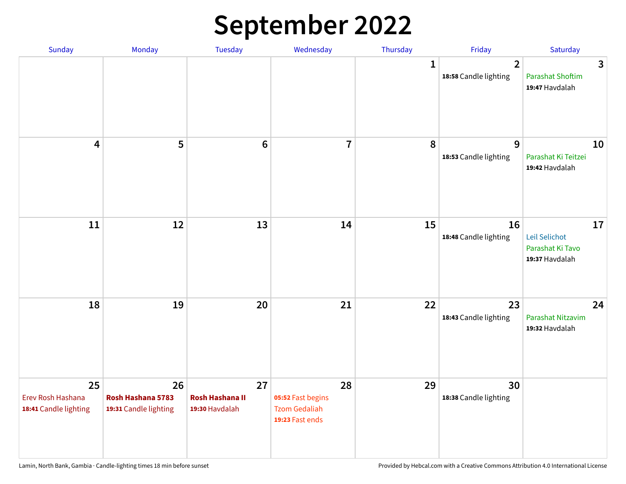## **September 2022**

| Sunday                                           | Monday                                           | Tuesday                                        | Wednesday                                                          | Thursday     | Friday                                  | Saturday                                                  |
|--------------------------------------------------|--------------------------------------------------|------------------------------------------------|--------------------------------------------------------------------|--------------|-----------------------------------------|-----------------------------------------------------------|
|                                                  |                                                  |                                                |                                                                    | $\mathbf{1}$ | $\overline{2}$<br>18:58 Candle lighting | 3<br><b>Parashat Shoftim</b><br>19:47 Havdalah            |
| $\overline{\mathbf{4}}$                          | 5                                                | $6\phantom{1}6$                                | $\overline{7}$                                                     | 8            | 9<br>18:53 Candle lighting              | 10<br>Parashat Ki Teitzei<br>19:42 Havdalah               |
| $11\,$                                           | 12                                               | 13                                             | 14                                                                 | 15           | 16<br>18:48 Candle lighting             | 17<br>Leil Selichot<br>Parashat Ki Tavo<br>19:37 Havdalah |
| 18                                               | 19                                               | 20                                             | 21                                                                 | 22           | 23<br>18:43 Candle lighting             | 24<br>Parashat Nitzavim<br>19:32 Havdalah                 |
| 25<br>Erev Rosh Hashana<br>18:41 Candle lighting | 26<br>Rosh Hashana 5783<br>19:31 Candle lighting | 27<br><b>Rosh Hashana II</b><br>19:30 Havdalah | 28<br>05:52 Fast begins<br><b>Tzom Gedaliah</b><br>19:23 Fast ends | 29           | 30<br>18:38 Candle lighting             |                                                           |

Lamin, North Bank, Gambia · Candle-lighting times 18 min before sunset **Provided by Hebcal.com with a Creative Commons Attribution 4.0 International License** Provided by Hebcal.com with a Creative Commons Attribution 4.0 I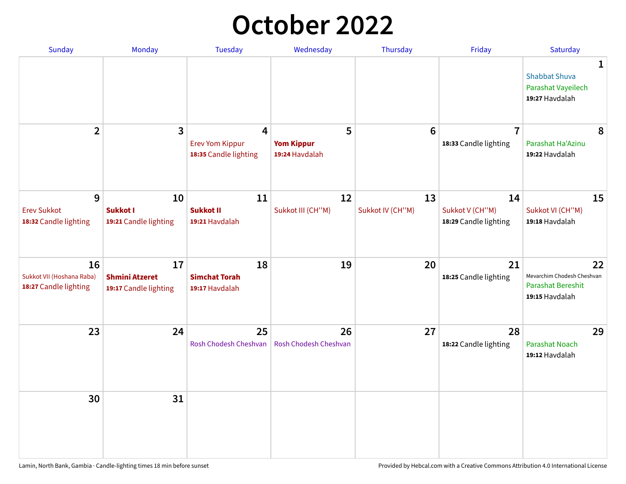## **October 2022**

| Sunday                                                   | Monday                                               | <b>Tuesday</b>                                                    | Wednesday                                | Thursday               | Friday                                         | Saturday                                                                |
|----------------------------------------------------------|------------------------------------------------------|-------------------------------------------------------------------|------------------------------------------|------------------------|------------------------------------------------|-------------------------------------------------------------------------|
|                                                          |                                                      |                                                                   |                                          |                        |                                                | 1<br><b>Shabbat Shuva</b><br>Parashat Vayeilech<br>19:27 Havdalah       |
| $\overline{2}$                                           | $\overline{\mathbf{3}}$                              | $\overline{4}$<br><b>Erev Yom Kippur</b><br>18:35 Candle lighting | 5<br><b>Yom Kippur</b><br>19:24 Havdalah | 6                      | $\overline{7}$<br>18:33 Candle lighting        | 8<br>Parashat Ha'Azinu<br>19:22 Havdalah                                |
| 9<br><b>Erev Sukkot</b><br>18:32 Candle lighting         | 10<br><b>Sukkot I</b><br>19:21 Candle lighting       | 11<br><b>Sukkot II</b><br>19:21 Havdalah                          | 12<br>Sukkot III (CH"M)                  | 13<br>Sukkot IV (CH"M) | 14<br>Sukkot V (CH"M)<br>18:29 Candle lighting | 15<br>Sukkot VI (CH"M)<br>19:18 Havdalah                                |
| 16<br>Sukkot VII (Hoshana Raba)<br>18:27 Candle lighting | 17<br><b>Shmini Atzeret</b><br>19:17 Candle lighting | 18<br><b>Simchat Torah</b><br>19:17 Havdalah                      | 19                                       | 20                     | 21<br>18:25 Candle lighting                    | 22<br>Mevarchim Chodesh Cheshvan<br>Parashat Bereshit<br>19:15 Havdalah |
| 23                                                       | 24                                                   | 25<br>Rosh Chodesh Cheshvan                                       | 26<br>Rosh Chodesh Cheshvan              | 27                     | 28<br>18:22 Candle lighting                    | 29<br><b>Parashat Noach</b><br>19:12 Havdalah                           |
| 30                                                       | 31                                                   |                                                                   |                                          |                        |                                                |                                                                         |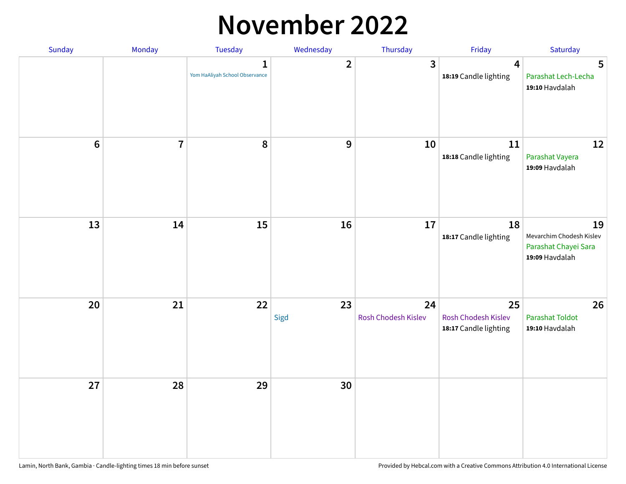### **November 2022**

| Sunday         | Monday         | Tuesday                                        | Wednesday               | Thursday                  | Friday                                             | Saturday                                                                 |
|----------------|----------------|------------------------------------------------|-------------------------|---------------------------|----------------------------------------------------|--------------------------------------------------------------------------|
|                |                | $\mathbf{1}$<br>Yom HaAliyah School Observance | $\overline{\mathbf{2}}$ | 3                         | $\overline{4}$<br>18:19 Candle lighting            | $5\phantom{1}$<br>Parashat Lech-Lecha<br>19:10 Havdalah                  |
| $6\phantom{1}$ | $\overline{7}$ | 8                                              | 9                       | 10                        | 11<br>18:18 Candle lighting                        | 12<br>Parashat Vayera<br>19:09 Havdalah                                  |
| 13             | 14             | 15                                             | 16                      | 17                        | 18<br>18:17 Candle lighting                        | 19<br>Mevarchim Chodesh Kislev<br>Parashat Chayei Sara<br>19:09 Havdalah |
| 20             | 21             | 22                                             | 23<br>Sigd              | 24<br>Rosh Chodesh Kislev | 25<br>Rosh Chodesh Kislev<br>18:17 Candle lighting | 26<br><b>Parashat Toldot</b><br>19:10 Havdalah                           |
| 27             | 28             | 29                                             | 30                      |                           |                                                    |                                                                          |